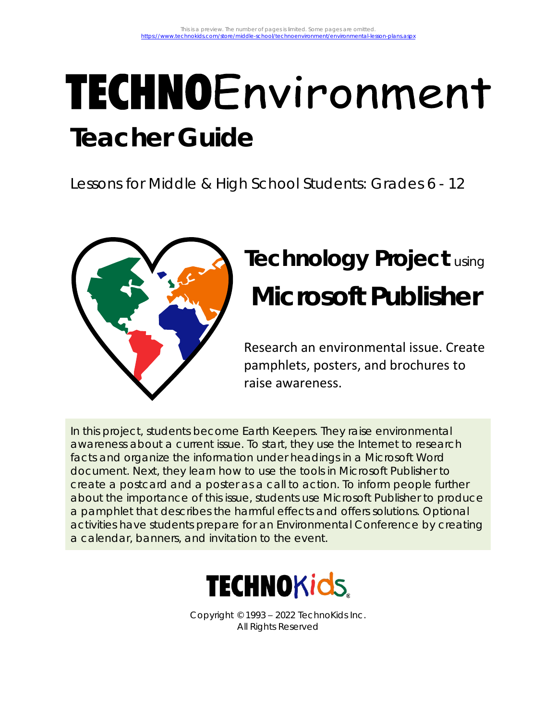# TECHNOEnvironment **Teacher Guide**

Lessons for Middle & High School Students: Grades 6 - 12



## **Technology Project** using **Microsoft Publisher**

Research an environmental issue. Create pamphlets, posters, and brochures to raise awareness.

In this project, students become Earth Keepers. They raise environmental awareness about a current issue. To start, they use the Internet to research facts and organize the information under headings in a Microsoft Word document. Next, they learn how to use the tools in Microsoft Publisher to create a postcard and a poster as a call to action. To inform people further about the importance of this issue, students use Microsoft Publisher to produce a pamphlet that describes the harmful effects and offers solutions. Optional activities have students prepare for an Environmental Conference by creating a calendar, banners, and invitation to the event.



Copyright © 1993 – 2022 TechnoKids Inc. All Rights Reserved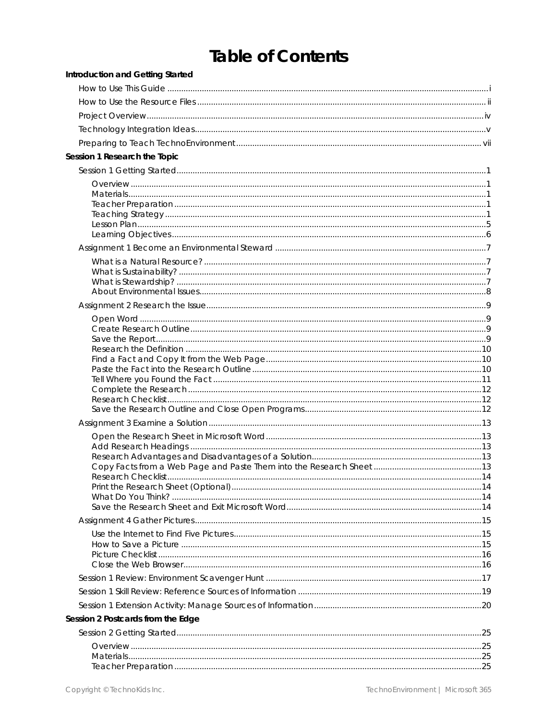## Table of Contents

| Session 1 Research the Topic<br>Session 2 Postcards from the Edge | Introduction and Getting Started |  |
|-------------------------------------------------------------------|----------------------------------|--|
|                                                                   |                                  |  |
|                                                                   |                                  |  |
|                                                                   |                                  |  |
|                                                                   |                                  |  |
|                                                                   |                                  |  |
|                                                                   |                                  |  |
|                                                                   |                                  |  |
|                                                                   |                                  |  |
|                                                                   |                                  |  |
|                                                                   |                                  |  |
|                                                                   |                                  |  |
|                                                                   |                                  |  |
|                                                                   |                                  |  |
|                                                                   |                                  |  |
|                                                                   |                                  |  |
|                                                                   |                                  |  |
|                                                                   |                                  |  |
|                                                                   |                                  |  |
|                                                                   |                                  |  |
|                                                                   |                                  |  |
|                                                                   |                                  |  |
|                                                                   |                                  |  |
|                                                                   |                                  |  |
|                                                                   |                                  |  |
|                                                                   |                                  |  |
|                                                                   |                                  |  |
|                                                                   |                                  |  |
|                                                                   |                                  |  |
|                                                                   |                                  |  |
|                                                                   |                                  |  |
|                                                                   |                                  |  |
|                                                                   |                                  |  |
|                                                                   |                                  |  |
|                                                                   |                                  |  |
|                                                                   |                                  |  |
|                                                                   |                                  |  |
|                                                                   |                                  |  |
|                                                                   |                                  |  |
|                                                                   |                                  |  |
|                                                                   |                                  |  |
|                                                                   |                                  |  |
|                                                                   |                                  |  |
|                                                                   |                                  |  |
|                                                                   |                                  |  |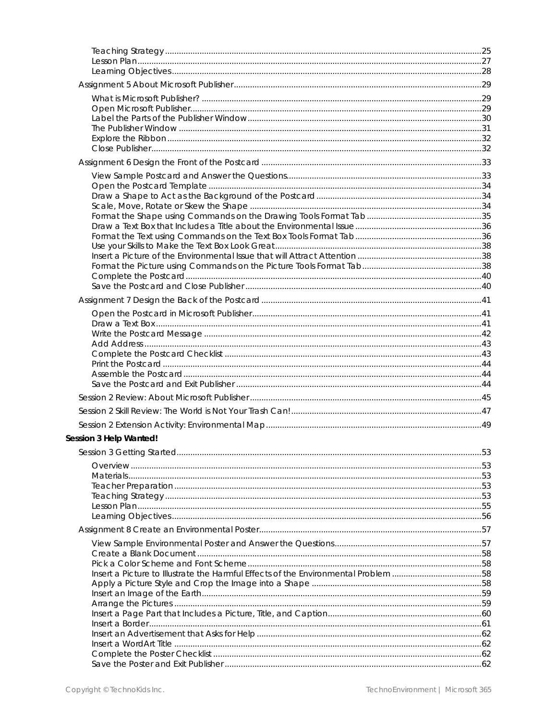| Session 3 Help Wanted!                                                             |  |
|------------------------------------------------------------------------------------|--|
|                                                                                    |  |
|                                                                                    |  |
|                                                                                    |  |
|                                                                                    |  |
|                                                                                    |  |
|                                                                                    |  |
|                                                                                    |  |
|                                                                                    |  |
|                                                                                    |  |
|                                                                                    |  |
| Insert a Picture to Illustrate the Harmful Effects of the Environmental Problem 58 |  |
|                                                                                    |  |
|                                                                                    |  |
|                                                                                    |  |
|                                                                                    |  |
|                                                                                    |  |
|                                                                                    |  |
|                                                                                    |  |
|                                                                                    |  |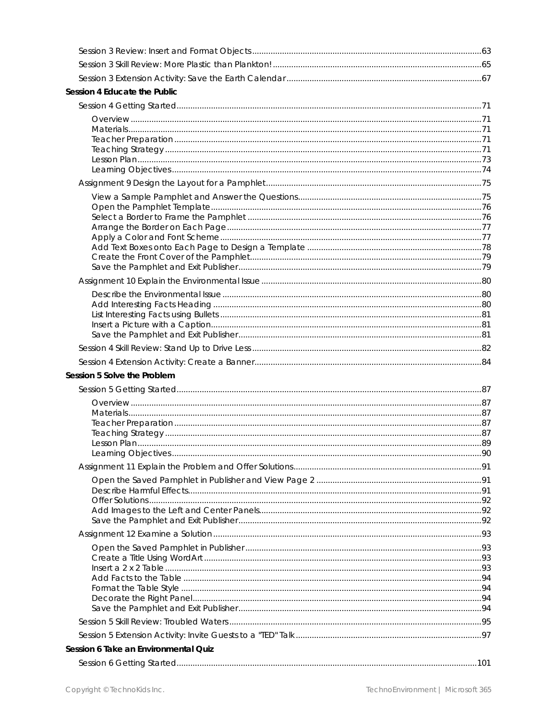| Session 4 Educate the Public         |  |
|--------------------------------------|--|
|                                      |  |
|                                      |  |
|                                      |  |
|                                      |  |
|                                      |  |
|                                      |  |
|                                      |  |
|                                      |  |
|                                      |  |
|                                      |  |
|                                      |  |
|                                      |  |
|                                      |  |
|                                      |  |
|                                      |  |
|                                      |  |
|                                      |  |
|                                      |  |
|                                      |  |
|                                      |  |
|                                      |  |
| Session 5 Solve the Problem          |  |
|                                      |  |
|                                      |  |
|                                      |  |
|                                      |  |
|                                      |  |
|                                      |  |
|                                      |  |
|                                      |  |
|                                      |  |
|                                      |  |
|                                      |  |
|                                      |  |
|                                      |  |
|                                      |  |
|                                      |  |
|                                      |  |
|                                      |  |
|                                      |  |
|                                      |  |
|                                      |  |
| Session 6 Take an Environmental Quiz |  |
|                                      |  |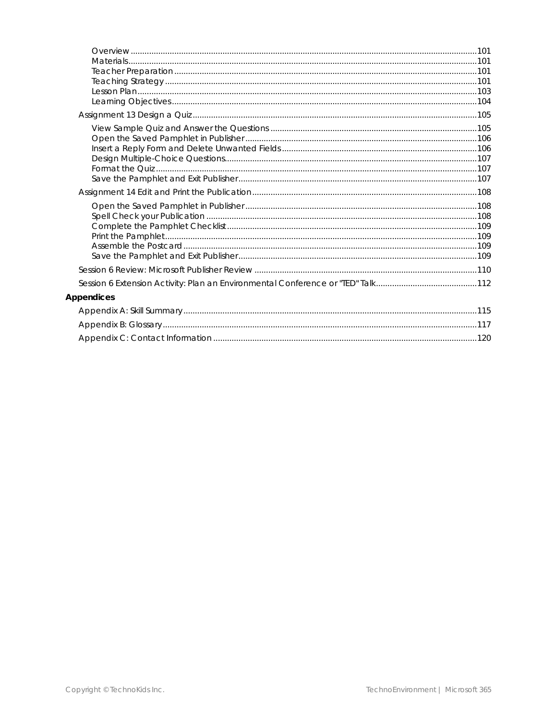| 101. 101   |  |
|------------|--|
|            |  |
|            |  |
|            |  |
|            |  |
|            |  |
|            |  |
| Appendices |  |
|            |  |
|            |  |
|            |  |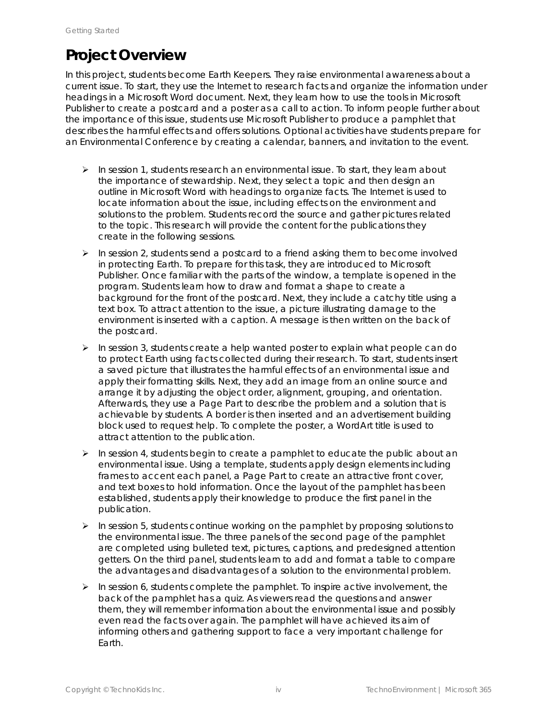### **Project Overview**

In this project, students become Earth Keepers. They raise environmental awareness about a current issue. To start, they use the Internet to research facts and organize the information under headings in a Microsoft Word document. Next, they learn how to use the tools in Microsoft Publisher to create a postcard and a poster as a call to action. To inform people further about the importance of this issue, students use Microsoft Publisher to produce a pamphlet that describes the harmful effects and offers solutions. Optional activities have students prepare for an Environmental Conference by creating a calendar, banners, and invitation to the event.

- $\triangleright$  In session 1, students research an environmental issue. To start, they learn about the importance of stewardship. Next, they select a topic and then design an outline in Microsoft Word with headings to organize facts. The Internet is used to locate information about the issue, including effects on the environment and solutions to the problem. Students record the source and gather pictures related to the topic. This research will provide the content for the publications they create in the following sessions.
- $\triangleright$  In session 2, students send a postcard to a friend asking them to become involved in protecting Earth. To prepare for this task, they are introduced to Microsoft Publisher. Once familiar with the parts of the window, a template is opened in the program. Students learn how to draw and format a shape to create a background for the front of the postcard. Next, they include a catchy title using a text box. To attract attention to the issue, a picture illustrating damage to the environment is inserted with a caption. A message is then written on the back of the postcard.
- $\triangleright$  In session 3, students create a help wanted poster to explain what people can do to protect Earth using facts collected during their research. To start, students insert a saved picture that illustrates the harmful effects of an environmental issue and apply their formatting skills. Next, they add an image from an online source and arrange it by adjusting the object order, alignment, grouping, and orientation. Afterwards, they use a Page Part to describe the problem and a solution that is achievable by students. A border is then inserted and an advertisement building block used to request help. To complete the poster, a WordArt title is used to attract attention to the publication.
- $\triangleright$  In session 4, students begin to create a pamphlet to educate the public about an environmental issue. Using a template, students apply design elements including frames to accent each panel, a Page Part to create an attractive front cover, and text boxes to hold information. Once the layout of the pamphlet has been established, students apply their knowledge to produce the first panel in the publication.
- ➢ In session 5, students continue working on the pamphlet by proposing solutions to the environmental issue. The three panels of the second page of the pamphlet are completed using bulleted text, pictures, captions, and predesigned attention getters. On the third panel, students learn to add and format a table to compare the advantages and disadvantages of a solution to the environmental problem.
- $\triangleright$  In session 6, students complete the pamphlet. To inspire active involvement, the back of the pamphlet has a quiz. As viewers read the questions and answer them, they will remember information about the environmental issue and possibly even read the facts over again. The pamphlet will have achieved its aim of informing others and gathering support to face a very important challenge for Earth.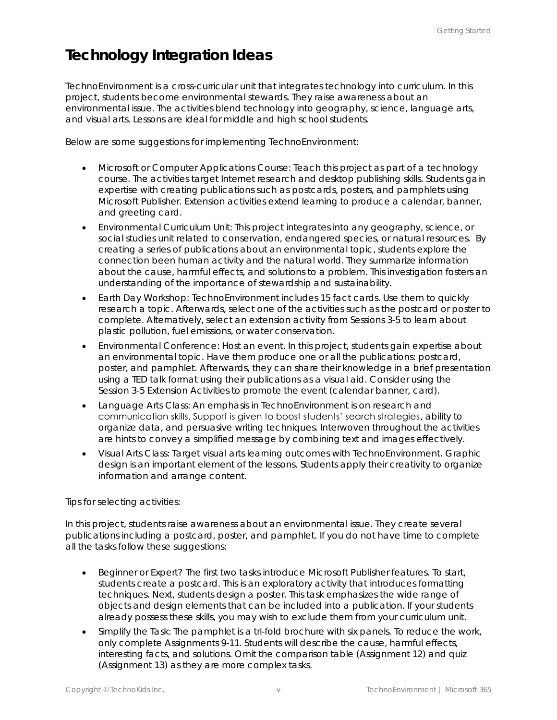## **Technology Integration Ideas**

TechnoEnvironment is a cross-curricular unit that integrates technology into curriculum. In this project, students become environmental stewards. They raise awareness about an environmental issue. The activities blend technology into geography, science, language arts, and visual arts. Lessons are ideal for middle and high school students.

Below are some suggestions for implementing TechnoEnvironment:

- *Microsoft or Computer Applications Course*: Teach this project as part of a technology course. The activities target Internet research and desktop publishing skills. Students gain expertise with creating publications such as postcards, posters, and pamphlets using Microsoft Publisher. Extension activities extend learning to produce a calendar, banner, and greeting card.
- *Environmental Curriculum* Unit: This project integrates into any geography, science, or social studies unit related to conservation, endangered species, or natural resources. By creating a series of publications about an environmental topic, students explore the connection been human activity and the natural world. They summarize information about the cause, harmful effects, and solutions to a problem. This investigation fosters an understanding of the importance of stewardship and sustainability.
- *Earth Day Workshop:* TechnoEnvironment includes 15 fact cards. Use them to quickly research a topic. Afterwards, select one of the activities such as the postcard or poster to complete. Alternatively, select an extension activity from Sessions 3-5 to learn about plastic pollution, fuel emissions, or water conservation.
- *Environmental Conference*: Host an event. In this project, students gain expertise about an environmental topic. Have them produce one or all the publications: postcard, poster, and pamphlet. Afterwards, they can share their knowledge in a brief presentation using a TED talk format using their publications as a visual aid. Consider using the Session 3-5 Extension Activities to promote the event (calendar banner, card).
- *Language Arts Class:* An emphasis in TechnoEnvironment is on research and communication skills. Support is given to boost students' search strategies, ability to organize data, and persuasive writing techniques. Interwoven throughout the activities are hints to convey a simplified message by combining text and images effectively.
- *Visual Arts Class*: Target visual arts learning outcomes with TechnoEnvironment. Graphic design is an important element of the lessons. Students apply their creativity to organize information and arrange content.

#### Tips for selecting activities:

In this project, students raise awareness about an environmental issue. They create several publications including a postcard, poster, and pamphlet. If you do not have time to complete all the tasks follow these suggestions:

- *Beginner or Expert?* The first two tasks introduce Microsoft Publisher features. To start, students create a postcard. This is an exploratory activity that introduces formatting techniques. Next, students design a poster. This task emphasizes the wide range of objects and design elements that can be included into a publication. If your students already possess these skills, you may wish to exclude them from your curriculum unit.
- *Simplify the Task:* The pamphlet is a tri-fold brochure with six panels. To reduce the work, only complete Assignments 9-11. Students will describe the cause, harmful effects, interesting facts, and solutions. Omit the comparison table (Assignment 12) and quiz (Assignment 13) as they are more complex tasks.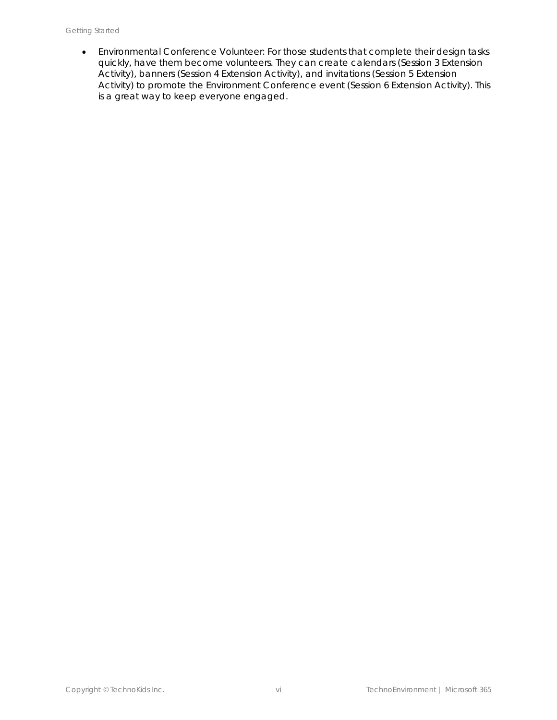• *Environmental Conference Volunteer:* For those students that complete their design tasks quickly, have them become volunteers. They can create calendars (Session 3 Extension Activity), banners (Session 4 Extension Activity), and invitations (Session 5 Extension Activity) to promote the Environment Conference event (Session 6 Extension Activity). This is a great way to keep everyone engaged.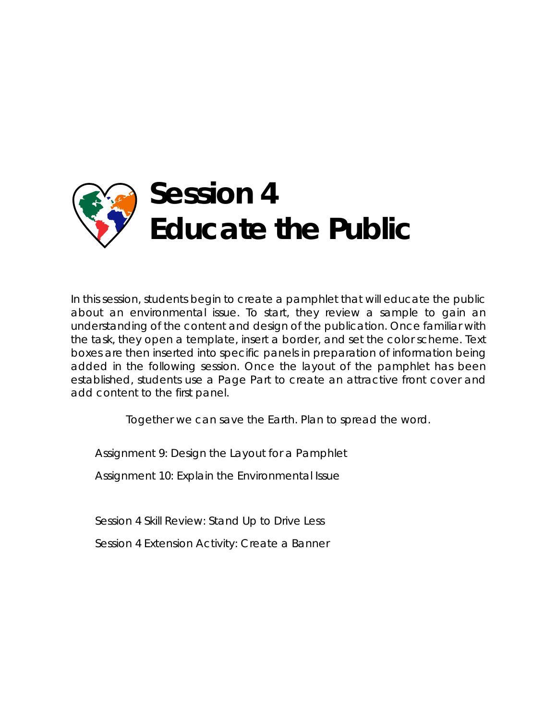

In this session, students begin to create a pamphlet that will educate the public about an environmental issue. To start, they review a sample to gain an understanding of the content and design of the publication. Once familiar with the task, they open a template, insert a border, and set the color scheme. Text boxes are then inserted into specific panels in preparation of information being added in the following session. Once the layout of the pamphlet has been established, students use a Page Part to create an attractive front cover and add content to the first panel.

*Together we can save the Earth. Plan to spread the word.*

Assignment 9: Design the Layout for a Pamphlet

Assignment 10: Explain the Environmental Issue

Session 4 Skill Review: Stand Up to Drive Less

Session 4 Extension Activity: Create a Banner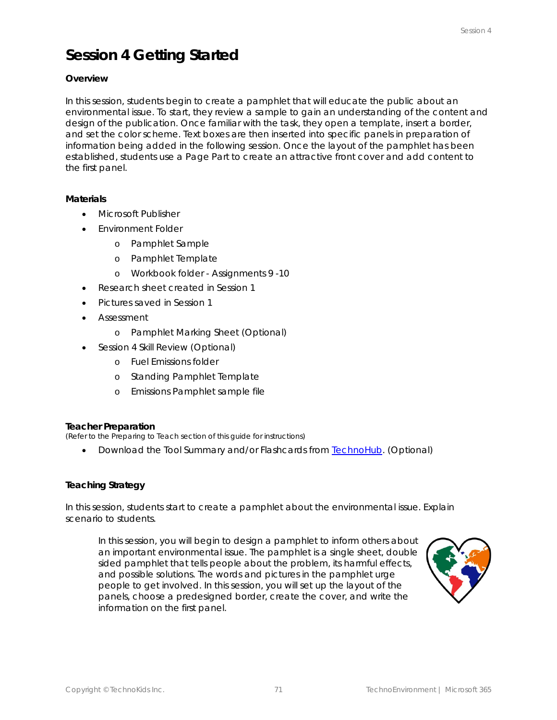## **Session 4 Getting Started**

#### **Overview**

In this session, students begin to create a pamphlet that will educate the public about an environmental issue. To start, they review a sample to gain an understanding of the content and design of the publication. Once familiar with the task, they open a template, insert a border, and set the color scheme. Text boxes are then inserted into specific panels in preparation of information being added in the following session. Once the layout of the pamphlet has been established, students use a Page Part to create an attractive front cover and add content to the first panel.

#### **Materials**

- Microsoft Publisher
- Environment Folder
	- o Pamphlet Sample
	- o Pamphlet Template
	- o Workbook folder Assignments 9 -10
- Research sheet created in Session 1
- Pictures saved in Session 1
- Assessment
	- o Pamphlet Marking Sheet (Optional)
- Session 4 Skill Review (Optional)
	- o Fuel Emissions folder
	- o Standing Pamphlet Template
	- o Emissions Pamphlet sample file

#### **Teacher Preparation**

*(Refer to the Preparing to Teach section of this guide for instructions)*

• Download the Tool Summary and/or Flashcards from TechnoHub. (Optional)

#### **Teaching Strategy**

In this session, students start to create a pamphlet about the environmental issue. Explain scenario to students.

*In this session, you will begin to design a pamphlet to inform others about an important environmental issue. The pamphlet is a single sheet, double sided pamphlet that tells people about the problem, its harmful effects, and possible solutions. The words and pictures in the pamphlet urge people to get involved. In this session, you will set up the layout of the panels, choose a predesigned border, create the cover, and write the information on the first panel.*

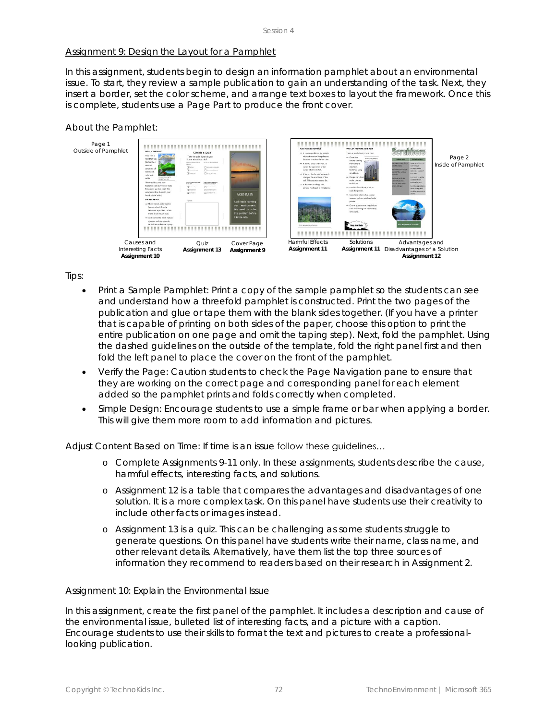#### Assignment 9: Design the Layout for a Pamphlet

In this assignment, students begin to design an information pamphlet about an environmental issue. To start, they review a sample publication to gain an understanding of the task. Next, they insert a border, set the color scheme, and arrange text boxes to layout the framework. Once this is complete, students use a *Page Part* to produce the front cover.

#### *About the Pamphlet:*



#### *Tips:*

- *Print a Sample Pamphlet:* Print a copy of the sample pamphlet so the students can see and understand how a threefold pamphlet is constructed. Print the two pages of the publication and glue or tape them with the blank sides together. (If you have a printer that is capable of printing on both sides of the paper, choose this option to print the entire publication on one page and omit the taping step). Next, fold the pamphlet. Using the dashed guidelines on the outside of the template, fold the right panel first and then fold the left panel to place the cover on the front of the pamphlet.
- *Verify the Page:* Caution students to check the Page Navigation pane to ensure that they are working on the correct page and corresponding panel for each element added so the pamphlet prints and folds correctly when completed.
- *Simple Design:* Encourage students to use a simple frame or bar when applying a border. This will give them more room to add information and pictures.

*Adjust Content Based on Time:* If time is an issue follow these guidelines…

- o Complete Assignments 9-11 only. In these assignments, students describe the cause, harmful effects, interesting facts, and solutions.
- o Assignment 12 is a table that compares the advantages and disadvantages of one solution. It is a more complex task. On this panel have students use their creativity to include other facts or images instead.
- o Assignment 13 is a quiz. This can be challenging as some students struggle to generate questions. On this panel have students write their name, class name, and other relevant details. Alternatively, have them list the top three sources of information they recommend to readers based on their research in Assignment 2.

#### Assignment 10: Explain the Environmental Issue

In this assignment, create the first panel of the pamphlet. It includes a description and cause of the environmental issue, bulleted list of interesting facts, and a picture with a caption. Encourage students to use their skills to format the text and pictures to create a professionallooking publication.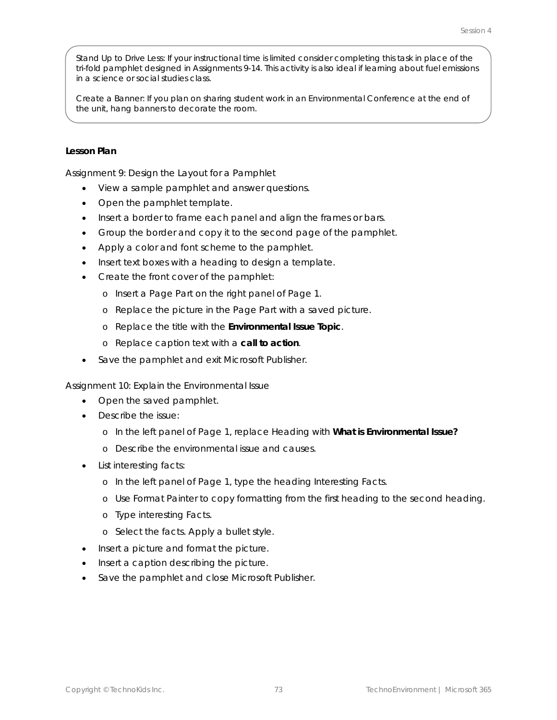*Stand Up to Drive Less:* If your instructional time is limited consider completing this task in place of the tri-fold pamphlet designed in Assignments 9-14. This activity is also ideal if learning about fuel emissions in a science or social studies class.

*Create a Banner:* If you plan on sharing student work in an Environmental Conference at the end of the unit, hang banners to decorate the room.

#### **Lesson Plan**

Assignment 9: Design the Layout for a Pamphlet

- View a sample pamphlet and answer questions.
- Open the pamphlet template.
- Insert a border to frame each panel and align the frames or bars.
- Group the border and copy it to the second page of the pamphlet.
- Apply a color and font scheme to the pamphlet.
- Insert text boxes with a heading to design a template.
- Create the front cover of the pamphlet:
	- o Insert a Page Part on the right panel of Page 1.
	- o Replace the picture in the Page Part with a saved picture.
	- o Replace the title with the **Environmental Issue Topic**.
	- o Replace caption text with a **call to action**.
- Save the pamphlet and exit Microsoft Publisher.

Assignment 10: Explain the Environmental Issue

- Open the saved pamphlet.
- Describe the issue:
	- o In the left panel of Page 1, replace *Heading* with **What is Environmental Issue?**
	- o Describe the environmental issue and causes.
- List interesting facts:
	- o In the left panel of Page 1, type the heading *Interesting Facts.*
	- o Use *Format Painter* to copy formatting from the first heading to the second heading.
	- o Type interesting Facts.
	- o Select the facts. Apply a bullet style.
- Insert a picture and format the picture.
- Insert a caption describing the picture.
- Save the pamphlet and close Microsoft Publisher.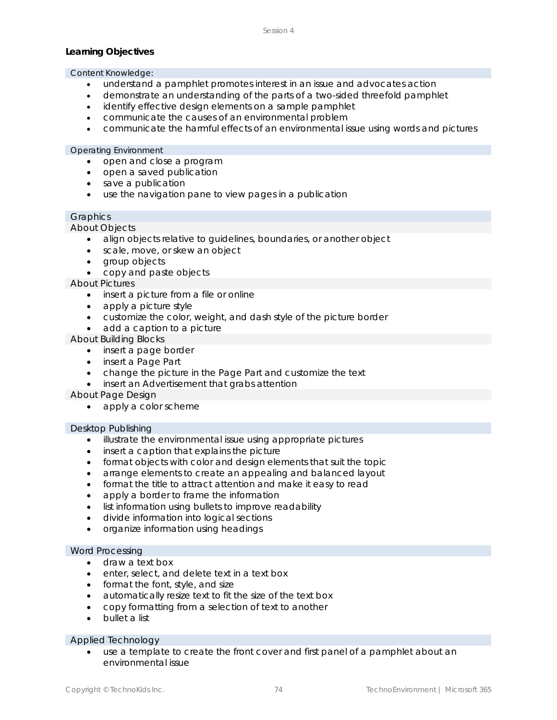#### **Learning Objectives**

#### Content Knowledge:

- understand a pamphlet promotes interest in an issue and advocates action
- demonstrate an understanding of the parts of a two-sided threefold pamphlet
- identify effective design elements on a sample pamphlet
- communicate the causes of an environmental problem
- communicate the harmful effects of an environmental issue using words and pictures

#### Operating Environment

- open and close a program
- open a saved publication
- save a publication
- use the navigation pane to view pages in a publication

#### Graphics

*About Objects*

- align objects relative to guidelines, boundaries, or another object
- scale, move, or skew an object
- group objects
- copy and paste objects

#### *About Pictures*

- insert a picture from a file or online
- apply a picture style
- customize the color, weight, and dash style of the picture border
- add a caption to a picture

*About Building Blocks*

- insert a page border
- insert a Page Part
- change the picture in the Page Part and customize the text
- insert an Advertisement that grabs attention

*About Page Design*

• apply a color scheme

#### Desktop Publishing

- illustrate the environmental issue using appropriate pictures
- insert a caption that explains the picture
- format objects with color and design elements that suit the topic
- arrange elements to create an appealing and balanced layout
- format the title to attract attention and make it easy to read
- apply a border to frame the information
- list information using bullets to improve readability
- divide information into logical sections
- organize information using headings

#### Word Processing

- draw a text box
- enter, select, and delete text in a text box
- format the font, style, and size
- automatically resize text to fit the size of the text box
- copy formatting from a selection of text to another
- bullet a list

#### Applied Technology

use a template to create the front cover and first panel of a pamphlet about an environmental issue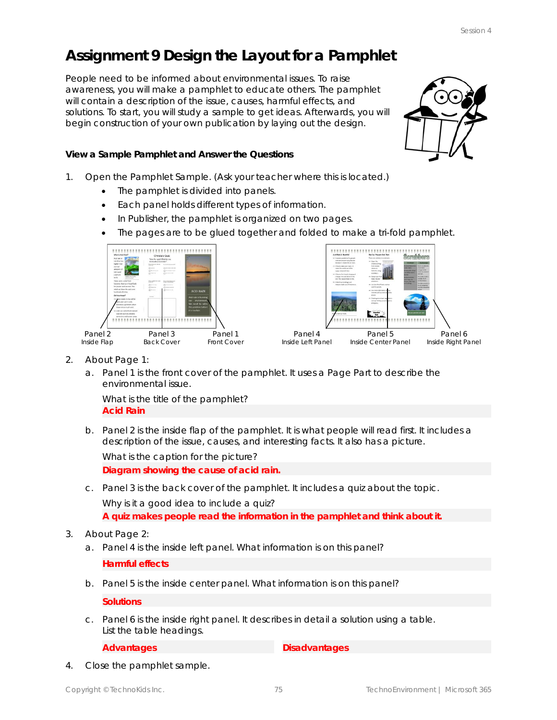## **Assignment 9 Design the Layout for a Pamphlet**

People need to be informed about environmental issues. To raise awareness, you will make a pamphlet to educate others. The pamphlet will contain a description of the issue, causes, harmful effects, and solutions. To start, you will study a sample to get ideas. Afterwards, you will begin construction of your own publication by laying out the design.

**View a Sample Pamphlet and Answer the Questions**

- 1. Open the *Pamphlet Sample*. *(Ask your teacher where this is located.)*
	- The pamphlet is divided into panels.
	- Each panel holds different types of information.
	- In Publisher, the pamphlet is organized on two pages.
	- The pages are to be glued together and folded to make a tri-fold pamphlet.





- 2. About Page 1:
	- a. *Panel 1* is the front cover of the pamphlet. It uses a Page Part to describe the environmental issue.

What is the title of the pamphlet? **Acid Rain**

b. *Panel 2* is the inside flap of the pamphlet. It is what people will read first. It includes a description of the issue, causes, and interesting facts. It also has a picture.

What is the caption for the picture? **Diagram showing the cause of acid rain.**

c. *Panel 3* is the back cover of the pamphlet. It includes a quiz about the topic.

Why is it a good idea to include a quiz?

**A quiz makes people read the information in the pamphlet and think about it.**

#### 3. About Page 2:

a. *Panel 4* is the inside left panel. What information is on this panel?

**Harmful effects**

b. *Panel 5* is the inside center panel. What information is on this panel?

**Solutions**

c. *Panel 6* is the inside right panel. It describes in detail a solution using a table. List the table headings.

**Advantages Disadvantages** 

4. Close the pamphlet sample.

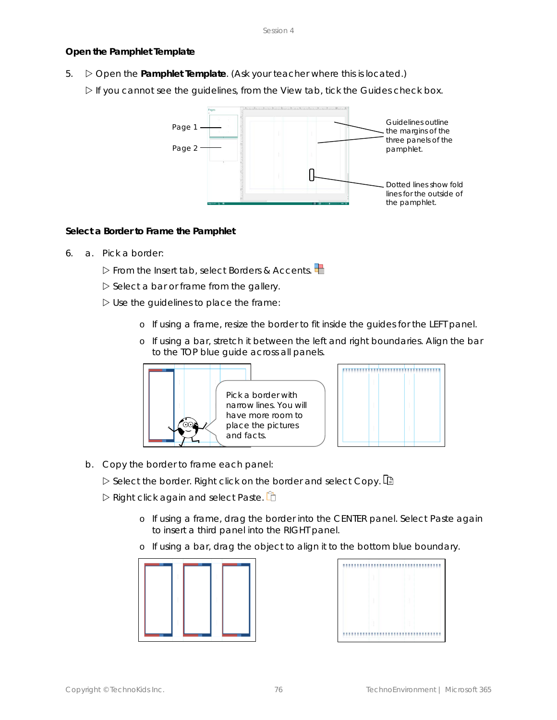#### **Open the Pamphlet Template**

5. Open the **Pamphlet Template**. *(Ask your teacher where this is located.)*

If you cannot see the guidelines, from the View tab, tick the *Guides* check box.



**Select a Border to Frame the Pamphlet**

6. a. Pick a border:

From the Insert tab, select *Borders & Accents*.

 $\triangleright$  Select a bar or frame from the gallery.

- $\triangleright$  Use the guidelines to place the frame:
	- o If using a frame, resize the border to fit inside the guides for the LEFT panel.
	- o If using a bar, stretch it between the left and right boundaries. Align the bar to the TOP blue guide across all panels.



b. Copy the border to frame each panel:

Select the border. Right click on the border and select *Copy*.

Right click again and select *Paste*.

o If using a frame, drag the border into the CENTER panel. Select *Paste* again to insert a third panel into the RIGHT panel.

o If using a bar, drag the object to align it to the bottom blue boundary.



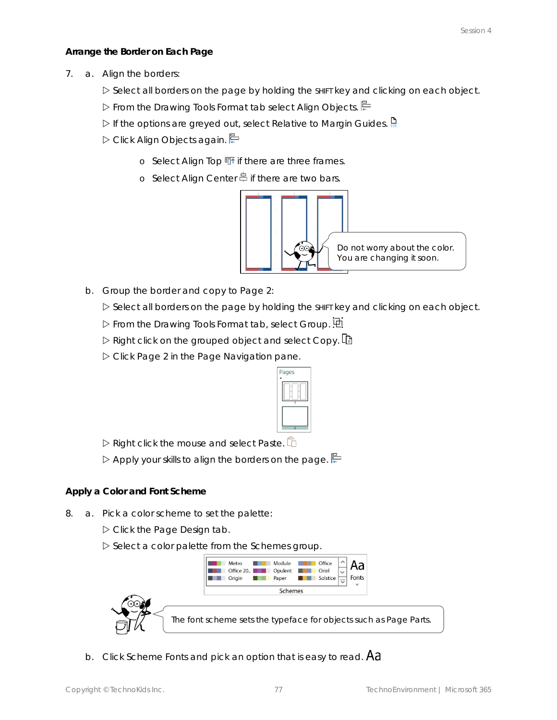**Arrange the Border on Each Page**

- 7. a. Align the borders:
	- $\triangleright$  Select all borders on the page by holding the shirt key and clicking on each object.
	- From the Drawing Tools Format tab select *Align Objects*.
	- If the options are greyed out, select *Relative to Margin Guides*.
	- D Click Align Objects again.
		- o Select *Align Top* if there are three frames.
		- o Select Align Center<sup>e</sup> if there are two bars.



- b. Group the border and copy to Page 2:
	- $\triangleright$  Select all borders on the page by holding the shirt key and clicking on each object.
	- From the Drawing Tools Format tab, select *Group*.
	- Right click on the grouped object and select *Copy*.
	- Click *Page 2* in the Page Navigation pane.



Right click the mouse and select *Paste*.

 $\triangleright$  Apply your skills to align the borders on the page.

**Apply a Color and Font Scheme**

- 8. a. Pick a color scheme to set the palette:
	- Click the *Page Design* tab.

Select a color palette from the *Schemes* group.



b. Click *Scheme Fonts* and pick an option that is easy to read.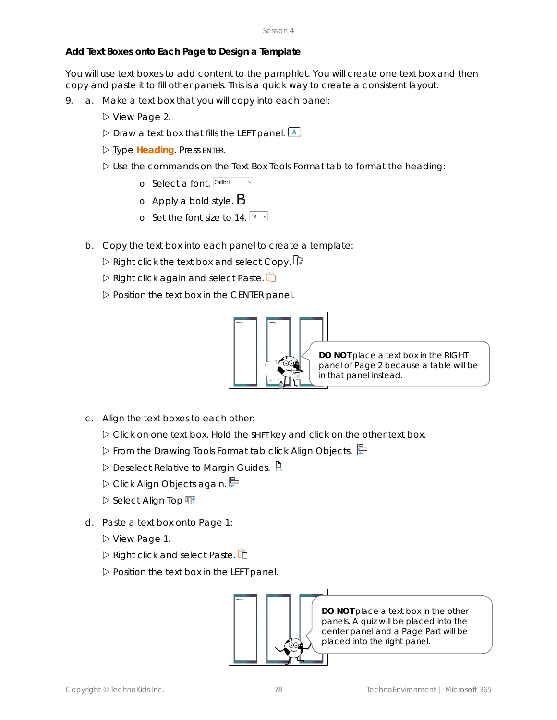#### **Add Text Boxes onto Each Page to Design a Template**

You will use text boxes to add content to the pamphlet. You will create one text box and then copy and paste it to fill other panels. This is a quick way to create a consistent layout.

- 9. a. Make a text box that you will copy into each panel:
	- ▷ View Page 2.
	- $\triangleright$  Draw a text box that fills the LEFT panel.  $\boxed{A}$
	- Type **Heading**. Press ENTER.
	- $\triangleright$  Use the commands on the Text Box Tools Format tab to format the heading:
		- o Select a font. Calibri
		- o Apply a bold style.  $\mathsf B$
		- o Set the font size to 14.  $14 \times$
	- b. Copy the text box into each panel to create a template:
		- $\triangleright$  Right click the text box and select *Copy*. Let
		- Right click again and select *Paste*.
		- $\triangleright$  Position the text box in the CENTER panel.



**DO NOT** place a text box in the RIGHT panel of Page 2 because a table will be in that panel instead.

- c. Align the text boxes to each other:
	- Click on one text box. Hold the SHIFT key and click on the other text box.
	- From the Drawing Tools Format tab click *Align Objects*.
	- Deselect *Relative to Margin Guides*.
	- D Click Align Objects again.
	- **▷ Select Align Top** 亚
- d. Paste a text box onto Page 1:
	- View Page 1.
	- Right click and select *Paste*.
	- $\triangleright$  Position the text box in the LEFT panel.

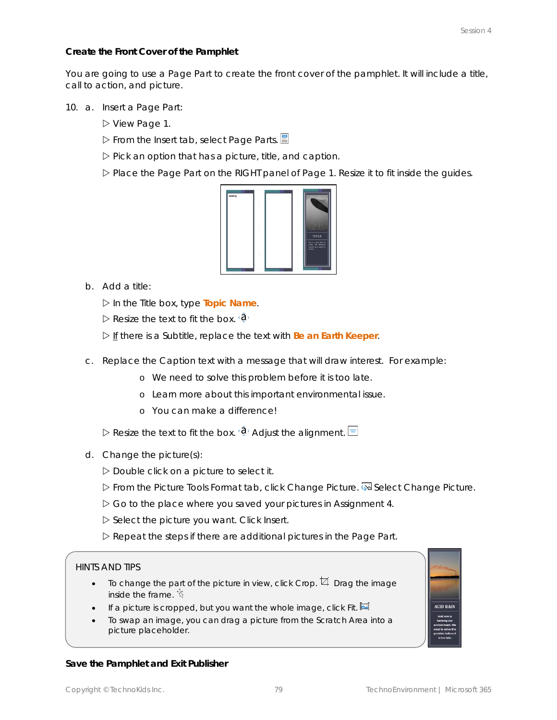**Create the Front Cover of the Pamphlet**

You are going to use a Page Part to create the front cover of the pamphlet. It will include a title, call to action, and picture.

- 10. a. Insert a Page Part:
	- View Page 1.
	- From the Insert tab, select *Page Parts*.
	- $\triangleright$  Pick an option that has a picture, title, and caption.
	- $\triangleright$  Place the Page Part on the RIGHT panel of Page 1. Resize it to fit inside the guides.



b. Add a title:

In the *Title* box, type **Topic Name**.

 $\triangleright$  Resize the text to fit the box.  $\langle \mathbf{\hat{Q}} \rangle$ 

If there is a *Subtitle*, replace the text with **Be an Earth Keeper**.

- c. Replace the *Caption* text with a message that will draw interest. For example:
	- o We need to solve this problem before it is too late.
	- o Learn more about this important environmental issue.
	- o You can make a difference!

Resize the text to fit the box.  $\hat{\mathbf{\theta}}$  Adjust the alignment.  $\Box$ 

- d. Change the picture(s):
	- $D$  Double click on a picture to select it.
	- **Example Prom the Picture Tools Format tab, click Change Picture.** Select Change Picture.
	- Go to the place where you saved your pictures in Assignment 4.
	- Select the picture you want. Click *Insert*.
	- $\triangleright$  Repeat the steps if there are additional pictures in the Page Part.

#### HINTS AND TIPS

- To change the part of the picture in view, click Crop.  $\overline{4}$  Drag the image inside the frame.  $\ddot{\mathcal{R}}$
- If a picture is cropped, but you want the whole image, click Fit.  $\blacksquare$
- To swap an image, you can drag a picture from the Scratch Area into a picture placeholder.



#### **Save the Pamphlet and Exit Publisher**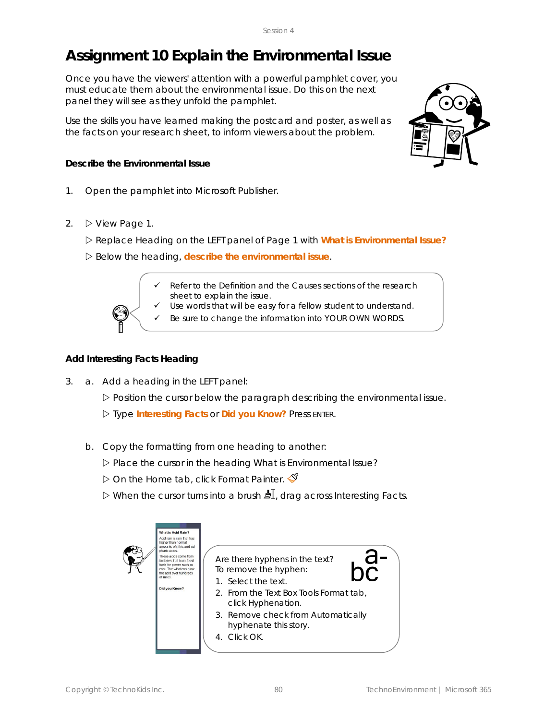## **Assignment 10 Explain the Environmental Issue**

Once you have the viewers' attention with a powerful pamphlet cover, you must educate them about the environmental issue. Do this on the next panel they will see as they unfold the pamphlet.

Use the skills you have learned making the postcard and poster, as well as the facts on your research sheet, to inform viewers about the problem.

**Describe the Environmental Issue**

- 1. Open the pamphlet into Microsoft Publisher.
- 2. View *Page 1*.

Replace *Heading* on the LEFT panel of Page 1 with **What is** *Environmental Issue***?**

Below the heading, **describe the environmental issue**.

✓ Refer to the *Definition* and the *Causes* sections of the research sheet to explain the issue.

Use words that will be easy for a fellow student to understand.

Be sure to change the information into YOUR OWN WORDS.

#### **Add Interesting Facts Heading**

3. a. Add a heading in the LEFT panel:

Position the cursor below the paragraph describing the environmental issue.

Type **Interesting Facts** or **Did you Know?** Press ENTER.

b. Copy the formatting from one heading to another:

Place the cursor in the heading *What is Environmental Issue?*

- $\triangleright$  On the Home tab, click Format Painter.  $\mathcal S$
- When the cursor turns into a brush , drag across *Interesting Facts*.

| What is Acid Rain?<br>higher than normal<br>phuric acids<br>of miles<br>Did you Know? | Acid rain is rain that has<br>amounts of nitric and sul-<br>d.<br>These acids come from<br>Are there hyphens in the text?<br>factories that burn fossil<br>fuels for power such as<br>To remove the hyphen:<br>coal. The wind can blow<br>the acid over hundreds.<br>1. Select the text.<br>2. From the Text Box Tools Format tab,<br>click Hyphenation. |  |
|---------------------------------------------------------------------------------------|----------------------------------------------------------------------------------------------------------------------------------------------------------------------------------------------------------------------------------------------------------------------------------------------------------------------------------------------------------|--|
|                                                                                       | 3. Remove check from Automatically<br>hyphenate this story.<br>4 Click OK                                                                                                                                                                                                                                                                                |  |

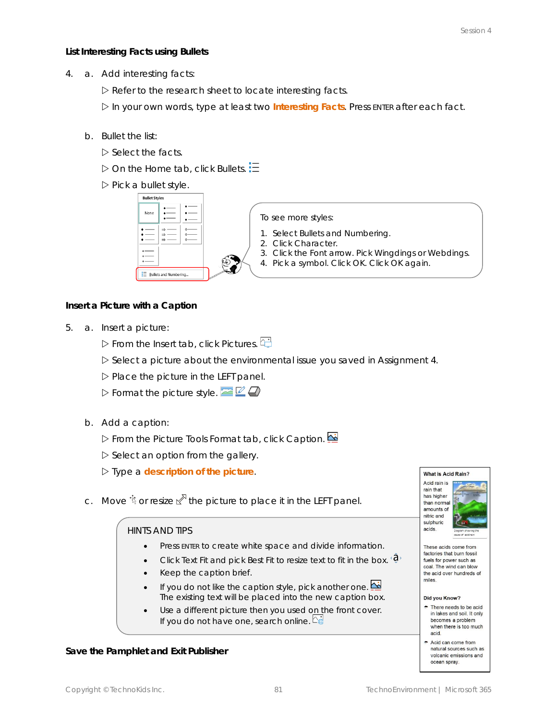**List Interesting Facts using Bullets**

- 4. a. Add interesting facts:
	- $\triangleright$  Refer to the research sheet to locate interesting facts.

In your own words, type at least two **Interesting Facts**. Press ENTER after each fact.

- b. Bullet the list:
	- $\triangleright$  Select the facts.
	- $\triangleright$  On the Home tab, click Bullets.  $\Xi$
	- $\triangleright$  Pick a bullet style.



To see more styles:

- 1. Select *Bullets and Numbering*.
- *2.* Click *Character.*
- 3. Click the *Font* arrow. Pick *Wingdings* or *Webdings*.
- 4. Pick a symbol. Click *OK*. Click *OK* again.

**Insert a Picture with a Caption**

- 5. a. Insert a picture:
	- From the Insert tab, click *Pictures*.
	- $\triangleright$  Select a picture about the environmental issue you saved in Assignment 4.
	- $\triangleright$  Place the picture in the LEFT panel.
	- $\triangleright$  Format the picture style.  $\blacksquare$
	- b. Add a caption:
		- From the Picture Tools Format tab, click *Caption*.
		- $\triangleright$  Select an option from the gallery.
		- Type a **description of the picture**.
	- c. Move  $\dot{\mathbb{S}}$  or resize  $\mathbb{X}^T$  the picture to place it in the LEFT panel.

#### HINTS AND TIPS

- Press ENTER to create white space and divide information.
- Click *Text Fit* and pick *Best Fit* to resize text to fit in the box.
- Keep the caption brief.
- If you do not like the caption style, pick another one. The existing text will be placed into the new caption box.
- Use a different picture then you used on the front cover. If you do not have one, search online.  $\mathbb{C}^{\oplus}_{\oplus}$

**Save the Pamphlet and Exit Publisher**



These acids come from factories that burn fossil fuels for power such as coal. The wind can blow the acid over hundreds of miles.

#### Did you Know?

 $\div$  There needs to be acid in lakes and soil. It only becomes a problem when there is too much acid.

Acid can come from natural sources such as volcanic emissions and ocean spray.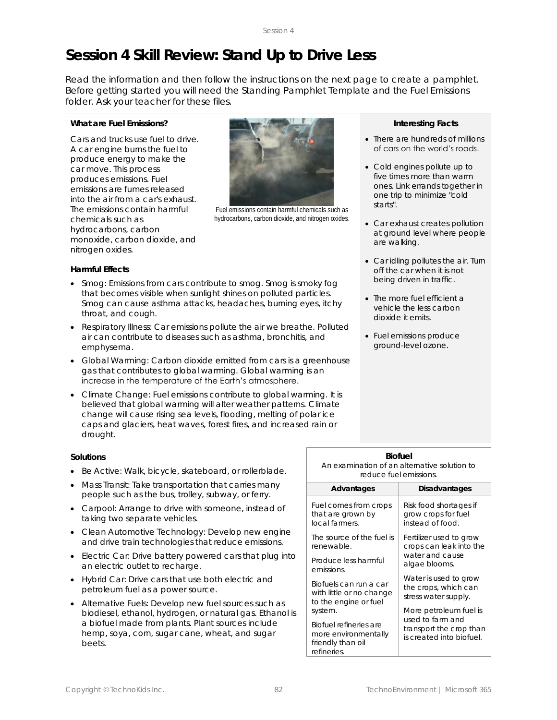## **Session 4 Skill Review: Stand Up to Drive Less**

Read the information and then follow the instructions on the next page to create a pamphlet. Before getting started you will need the *Standing Pamphlet Template* and the *Fuel Emissions*  folder. Ask your teacher for these files.

#### **What are Fuel Emissions?**

Cars and trucks use fuel to drive. A car engine burns the fuel to produce energy to make the car move. This process produces emissions. Fuel emissions are fumes released into the air from a car's exhaust. The emissions contain harmful chemicals such as hydrocarbons, carbon monoxide, carbon dioxide, and nitrogen oxides.



Fuel emissions contain harmful chemicals such as hydrocarbons, carbon dioxide, and nitrogen oxides.

#### **Harmful Effects**

- *Smog*: Emissions from cars contribute to smog. Smog is smoky fog that becomes visible when sunlight shines on polluted particles. Smog can cause asthma attacks, headaches, burning eyes, itchy throat, and cough.
- *Respiratory Illness*: Car emissions pollute the air we breathe. Polluted air can contribute to diseases such as asthma, bronchitis, and emphysema.
- *Global Warming*: Carbon dioxide emitted from cars is a greenhouse gas that contributes to global warming. Global warming is an increase in the temperature of the Earth's atmosphere.
- *Climate Change*: Fuel emissions contribute to global warming. It is believed that global warming will alter weather patterns. Climate change will cause rising sea levels, flooding, melting of polar ice caps and glaciers, heat waves, forest fires, and increased rain or drought.

#### **Solutions**

- *Be Active*: Walk, bicycle, skateboard, or rollerblade.
- *Mass Transit*: Take transportation that carries many people such as the bus, trolley, subway, or ferry.
- *Carpool*: Arrange to drive with someone, instead of taking two separate vehicles.
- *Clean Automotive Technology*: Develop new engine and drive train technologies that reduce emissions.
- *Electric Car*: Drive battery powered cars that plug into an electric outlet to recharge.
- *Hybrid Car*: Drive cars that use both electric and petroleum fuel as a power source.
- *Alternative Fuels*: Develop new fuel sources such as biodiesel, ethanol, hydrogen, or natural gas. Ethanol is a biofuel made from plants. Plant sources include hemp, soya, corn, sugar cane, wheat, and sugar beets.

#### **Interesting Facts**

- There are hundreds of millions of cars on the world's roads.
- Cold engines pollute up to five times more than warm ones. Link errands together in one trip to minimize "cold starts".
- Car exhaust creates pollution at ground level where people are walking.
- Car idling pollutes the air. Turn off the car when it is not being driven in traffic.
- The more fuel efficient a vehicle the less carbon dioxide it emits.
- Fuel emissions produce ground-level ozone.

| An examination of an alternative solution to<br>reduce fuel emissions.             |                                                                         |  |
|------------------------------------------------------------------------------------|-------------------------------------------------------------------------|--|
| Advantages                                                                         | Disadvantages                                                           |  |
| Fuel comes from crops                                                              | Risk food shortages if                                                  |  |
| that are grown by                                                                  | grow crops for fuel                                                     |  |
| local farmers.                                                                     | instead of food.                                                        |  |
| The source of the fuel is                                                          | Fertilizer used to grow                                                 |  |
| renewable.                                                                         | crops can leak into the                                                 |  |
| Produce less harmful                                                               | water and cause                                                         |  |
| emissions.                                                                         | algae blooms.                                                           |  |
| Biofuels can run a car                                                             | Water is used to grow                                                   |  |
| with little or no change                                                           | the crops, which can                                                    |  |
| to the engine or fuel                                                              | stress water supply.                                                    |  |
| system.                                                                            | More petroleum fuel is                                                  |  |
| Biofuel refineries are<br>more environmentally<br>friendly than oil<br>refineries. | used to farm and<br>transport the crop than<br>is created into biofuel. |  |

**Biofuel**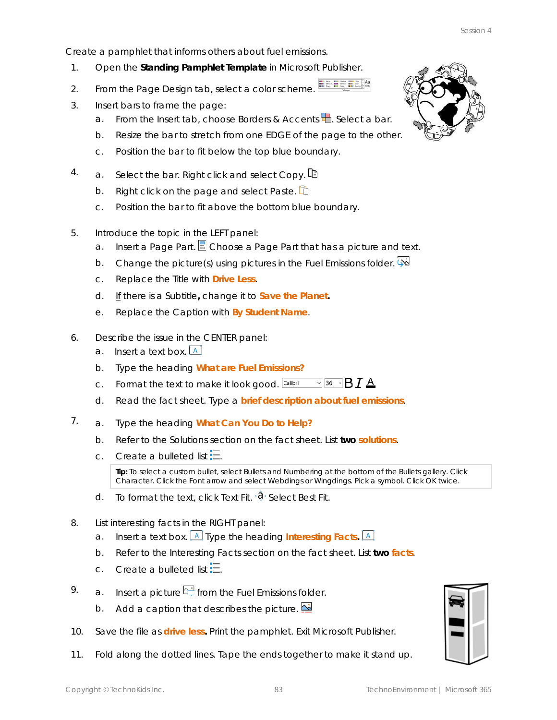Create a pamphlet that informs others about fuel emissions.

- 1. Open the **Standing Pamphlet Template** in Microsoft Publisher.
- 2. From the Page Design tab, select a color scheme.
- 3. Insert bars to frame the page:
	- a. From the Insert tab, choose Borders & Accents<sup>1</sup>. Select a bar.
	- b. Resize the bar to stretch from one EDGE of the page to the other.
	- c. Position the bar to fit below the top blue boundary.
- 4. a. Select the bar. Right click and select *Copy*.
	- b. Right click on the page and select *Paste*.
	- c. Position the bar to fit above the bottom blue boundary.
- 5. Introduce the topic in the LEFT panel:
	- a. Insert a Page Part. Choose a Page Part that has a picture and text.
	- b. Change the picture(s) using pictures in the *Fuel Emissions* folder.
	- c. Replace the *Title* with **Drive Less**.
	- d. If there is a *Subtitle***,** change it to **Save the Planet.**
	- e. Replace the *Caption* with **By** *Student Name*.
- 6. Describe the issue in the CENTER panel:
	- a. Insert a text box.  $\boxed{A}$
	- b. Type the heading **What are Fuel Emissions?**
	- c. Format the text to make it look good. Calibri  $\sqrt{36}$   $\sqrt{B} I A$
	- d. Read the fact sheet. Type a **brief description about fuel emissions**.
- 7. a. Type the heading **What Can You Do to Help?**
	- b. Refer to the *Solutions* section on the fact sheet. List **two solutions**.
	- c. Create a bulleted list  $\Xi$

**Tip:** To select a custom bullet, select *Bullets and Numbering* at the bottom of the Bullets gallery. Click *Character*. Click the *Font* arrow and select Webdings or Wingdings. Pick a symbol. Click *OK* twice.

- d. To format the text, click Text Fit.  $\mathbf{\hat{Q}}$  Select Best Fit.
- 8. List interesting facts in the RIGHT panel:
	- a. Insert a text box. **A** Type the heading Interesting Facts. **A**
	- b. Refer to the *Interesting Facts* section on the fact sheet. List **two facts**.
	- c. Create a bulleted list  $\Xi$ .
- 9. a. Insert a picture  $\frac{d\mathbf{H}}{dt}$  from the *Fuel Emissions* folder.
	- b. Add a caption that describes the picture.  $\mathbf{\mathbb{E}}$
- 10. Save the file as **drive less.** Print the pamphlet. Exit Microsoft Publisher.
- 11. Fold along the dotted lines. Tape the ends together to make it stand up.

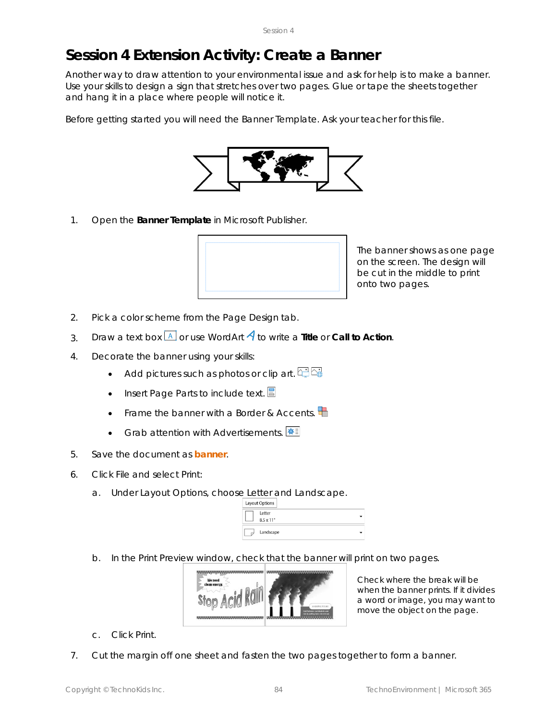## **Session 4 Extension Activity: Create a Banner**

Another way to draw attention to your environmental issue and ask for help is to make a banner. Use your skills to design a sign that stretches over two pages. Glue or tape the sheets together and hang it in a place where people will notice it.

Before getting started you will need the *Banner Template*. Ask your teacher for this file.



1. Open the **Banner Template** in Microsoft Publisher.



The banner shows as one page on the screen. The design will be cut in the middle to print onto two pages.

- 2. Pick a color scheme from the Page Design tab.
- 3. Draw a text box  $\boxed{A}$  or use WordArt  $\overline{A}$  to write a Title or Call to Action.
- 4. Decorate the banner using your skills:
	- Add pictures such as photos or clip art.  $\Box \Box \Box$
	- Insert *Page Parts* to include text.
	- Frame the banner with a *Border & Accents*.
	- Grab attention with *Advertisements*.
- 5. Save the document as **banner**.
- 6. Click *File* and select *Print*:
	- a. Under Layout Options, choose *Letter* and *Landscape*.

| Layout Options              |
|-----------------------------|
| Letter<br>$8.5 \times 11$ " |
| Landscape                   |

b. In the Print Preview window, check that the banner will print on two pages.



Check where the break will be when the banner prints. If it divides a word or image, you may want to move the object on the page.

- c. Click *Print*.
- 7. Cut the margin off one sheet and fasten the two pages together to form a banner.